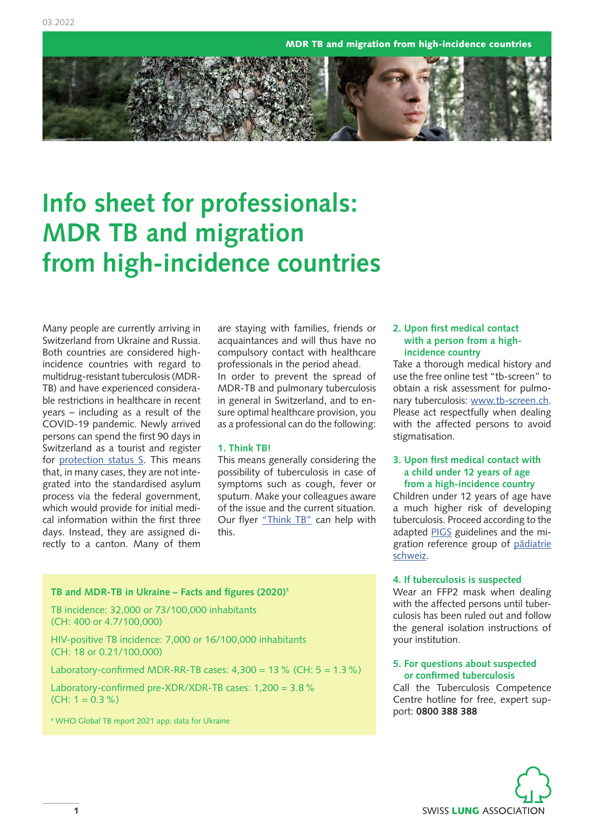MDR TB and migration from high-incidence countries



# **Info sheet for professionals: MDR TB and migration from high-incidence countries**

Many people are currently arriving in Switzerland from Ukraine and Russia. Both countries are considered highincidence countries with regard to multidrug-resistant tuberculosis (MDR-TB) and have experienced considerable restrictions in healthcare in recent years – including as a result of the COVID-19 pandemic. Newly arrived persons can spend the first 90 days in Switzerland as a tourist and register for [protection status S.](https://www.admin.ch/gov/de/start/dokumentation/medienmitteilungen.msg-id-87556.html) This means that, in many cases, they are not integrated into the standardised asylum process via the federal government, which would provide for initial medical information within the first three days. Instead, they are assigned directly to a canton. Many of them

are staying with families, friends or acquaintances and will thus have no compulsory contact with healthcare professionals in the period ahead. In order to prevent the spread of MDR-TB and pulmonary tuberculosis in general in Switzerland, and to ensure optimal healthcare provision, you as a professional can do the following:

# **1. Think TB!**

This means generally considering the possibility of tuberculosis in case of symptoms such as cough, fever or sputum. Make your colleagues aware of the issue and the current situation. Our flyer ["Think TB](https://www.tbinfo.ch/wissenszentrum/publikationen/nationale-publikationen.html)" can help with this.

# **TB and MDR-TB in Ukraine – Facts and figures (2020)1**

TB incidence: 32,000 or 73/100,000 inhabitants (CH: 400 or 4.7/100,000)

HIV-positive TB incidence: 7,000 or 16/100,000 inhabitants (CH: 18 or 0.21/100,000)

Laboratory-confirmed MDR-RR-TB cases:  $4,300 = 13$  % (CH:  $5 = 1.3$  %)

Laboratory-confirmed pre-XDR/XDR-TB cases: 1,200 = 3.8%  $(CH: 1 = 0.3\%)$ 

**<sup>1</sup>** WHO Global TB report 2021 app: data for Ukraine

# **2. Upon first medical contact with a person from a highincidence country**

Take a thorough medical history and use the free online test "tb-screen" to obtain a risk assessment for pulmonary tuberculosis: [www.tb-screen.ch.](http://www.tb-screen.ch/app/intro.php) Please act respectfully when dealing with the affected persons to avoid stigmatisation.

# **3. Upon first medical contact with a child under 12 years of age from a high-incidence country**

Children under 12 years of age have a much higher risk of developing tuberculosis. Proceed according to the adapted [PIGS](http://www.pigs.ch/pigs/frames/aboutframe.html) guidelines and the migration reference group of [pädiatrie](https://www.paediatrieschweiz.ch/?lang=de)  [schweiz](https://www.paediatrieschweiz.ch/?lang=de).

# **4. If tuberculosis is suspected**

Wear an FFP2 mask when dealing with the affected persons until tuberculosis has been ruled out and follow the general isolation instructions of your institution.

# **5. For questions about suspected or confirmed tuberculosis**

Call the Tuberculosis Competence Centre hotline for free, expert support: **0800 388 388**

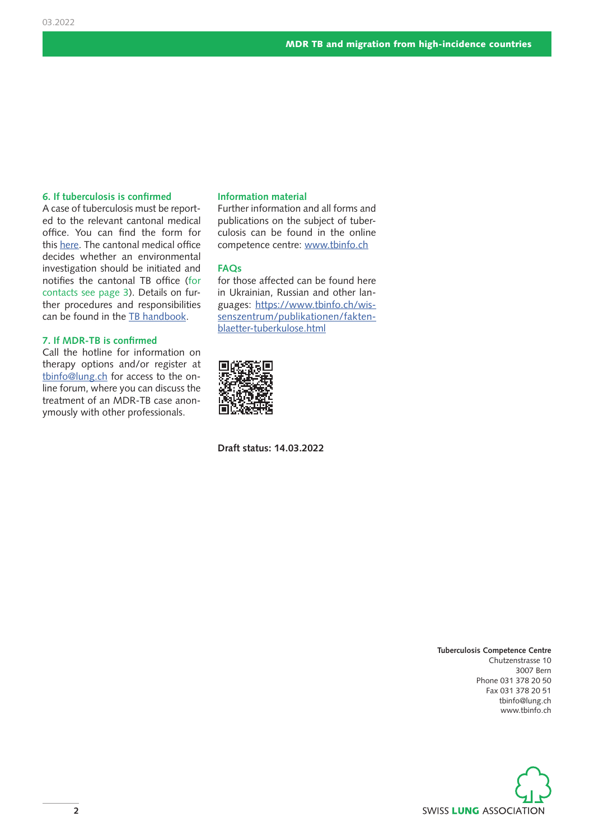# **6. If tuberculosis is confirmed**

A case of tuberculosis must be reported to the relevant cantonal medical office. You can find the form for this [here.](https://www.tbinfo.ch/formulare/tb-meldeformulare-bag.html) The cantonal medical office decides whether an environmental investigation should be initiated and notifies the cantonal TB office (for contacts see page 3). Details on further procedures and responsibilities can be found in the [TB handbook](https://www.tbinfo.ch/wissenszentrum/publikationen/handbuch-tuberkulose.html).

# **7. If MDR-TB is confirmed**

Call the hotline for information on therapy options and/or register at [tbinfo@lung.ch](mailto: tbinfo@lung.ch) for access to the online forum, where you can discuss the treatment of an MDR-TB case anonymously with other professionals.

# **Information material**

Further information and all forms and publications on the subject of tuberculosis can be found in the online competence centre: [www.tbinfo.ch](https://www.tbinfo.ch/startseite.html)

# **FAQs**

for those affected can be found here in Ukrainian, Russian and other languages: [https://www.tbinfo.ch/wis](https://www.tbinfo.ch/wissenszentrum/publikationen/faktenblaetter-tuberkulose.html)[senszentrum/publikationen/fakten](https://www.tbinfo.ch/wissenszentrum/publikationen/faktenblaetter-tuberkulose.html)[blaetter-tuberkulose.html](https://www.tbinfo.ch/wissenszentrum/publikationen/faktenblaetter-tuberkulose.html)



**Draft status: 14.03.2022**

**Tuberculosis Competence Centre** Chutzenstrasse 10 3007 Bern Phone 031 378 20 50 Fax 031 378 20 51 [tbinfo@lung.ch](mailto: tbinfo@lung.ch) [www.tbinfo.ch](http://www.tbinfo.ch)